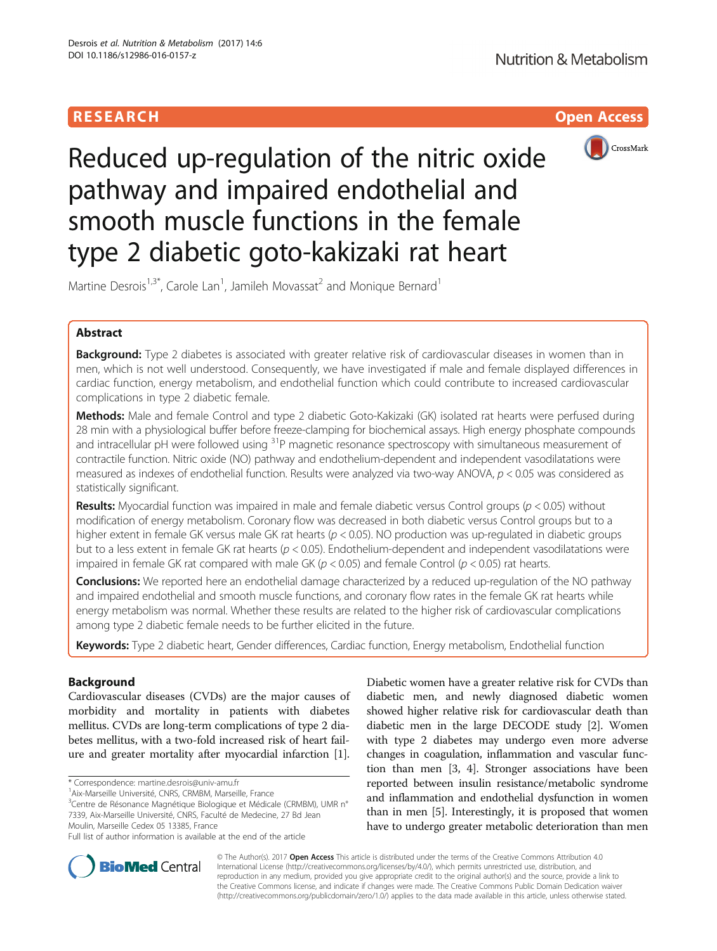# **RESEARCH CHILD CONTROL** CONTROL CONTROL CONTROL CONTROL CONTROL CONTROL CONTROL CONTROL CONTROL CONTROL CONTROL



Reduced up-regulation of the nitric oxide pathway and impaired endothelial and smooth muscle functions in the female type 2 diabetic goto-kakizaki rat heart

Martine Desrois<sup>1,3\*</sup>, Carole Lan<sup>1</sup>, Jamileh Movassat<sup>2</sup> and Monique Bernard<sup>1</sup>

# Abstract

**Background:** Type 2 diabetes is associated with greater relative risk of cardiovascular diseases in women than in men, which is not well understood. Consequently, we have investigated if male and female displayed differences in cardiac function, energy metabolism, and endothelial function which could contribute to increased cardiovascular complications in type 2 diabetic female.

Methods: Male and female Control and type 2 diabetic Goto-Kakizaki (GK) isolated rat hearts were perfused during 28 min with a physiological buffer before freeze-clamping for biochemical assays. High energy phosphate compounds and intracellular pH were followed using <sup>31</sup>P magnetic resonance spectroscopy with simultaneous measurement of contractile function. Nitric oxide (NO) pathway and endothelium-dependent and independent vasodilatations were measured as indexes of endothelial function. Results were analyzed via two-way ANOVA,  $p < 0.05$  was considered as statistically significant.

**Results:** Myocardial function was impaired in male and female diabetic versus Control groups ( $p < 0.05$ ) without modification of energy metabolism. Coronary flow was decreased in both diabetic versus Control groups but to a higher extent in female GK versus male GK rat hearts ( $p < 0.05$ ). NO production was up-regulated in diabetic groups but to a less extent in female GK rat hearts ( $p < 0.05$ ). Endothelium-dependent and independent vasodilatations were impaired in female GK rat compared with male GK ( $p < 0.05$ ) and female Control ( $p < 0.05$ ) rat hearts.

**Conclusions:** We reported here an endothelial damage characterized by a reduced up-regulation of the NO pathway and impaired endothelial and smooth muscle functions, and coronary flow rates in the female GK rat hearts while energy metabolism was normal. Whether these results are related to the higher risk of cardiovascular complications among type 2 diabetic female needs to be further elicited in the future.

Keywords: Type 2 diabetic heart, Gender differences, Cardiac function, Energy metabolism, Endothelial function

# Background

Cardiovascular diseases (CVDs) are the major causes of morbidity and mortality in patients with diabetes mellitus. CVDs are long-term complications of type 2 diabetes mellitus, with a two-fold increased risk of heart failure and greater mortality after myocardial infarction [[1](#page-9-0)].

\* Correspondence: [martine.desrois@univ-amu.fr](mailto:martine.desrois@univ-amu.fr) <sup>1</sup>

<sup>1</sup> Aix-Marseille Université, CNRS, CRMBM, Marseille, France

<sup>3</sup>Centre de Résonance Magnétique Biologique et Médicale (CRMBM), UMR n° 7339, Aix-Marseille Université, CNRS, Faculté de Medecine, 27 Bd Jean Moulin, Marseille Cedex 05 13385, France

Diabetic women have a greater relative risk for CVDs than diabetic men, and newly diagnosed diabetic women showed higher relative risk for cardiovascular death than diabetic men in the large DECODE study [\[2\]](#page-9-0). Women with type 2 diabetes may undergo even more adverse changes in coagulation, inflammation and vascular function than men [[3](#page-9-0), [4\]](#page-9-0). Stronger associations have been reported between insulin resistance/metabolic syndrome and inflammation and endothelial dysfunction in women than in men [[5\]](#page-9-0). Interestingly, it is proposed that women have to undergo greater metabolic deterioration than men



© The Author(s). 2017 **Open Access** This article is distributed under the terms of the Creative Commons Attribution 4.0 International License [\(http://creativecommons.org/licenses/by/4.0/](http://creativecommons.org/licenses/by/4.0/)), which permits unrestricted use, distribution, and reproduction in any medium, provided you give appropriate credit to the original author(s) and the source, provide a link to the Creative Commons license, and indicate if changes were made. The Creative Commons Public Domain Dedication waiver [\(http://creativecommons.org/publicdomain/zero/1.0/](http://creativecommons.org/publicdomain/zero/1.0/)) applies to the data made available in this article, unless otherwise stated.

Full list of author information is available at the end of the article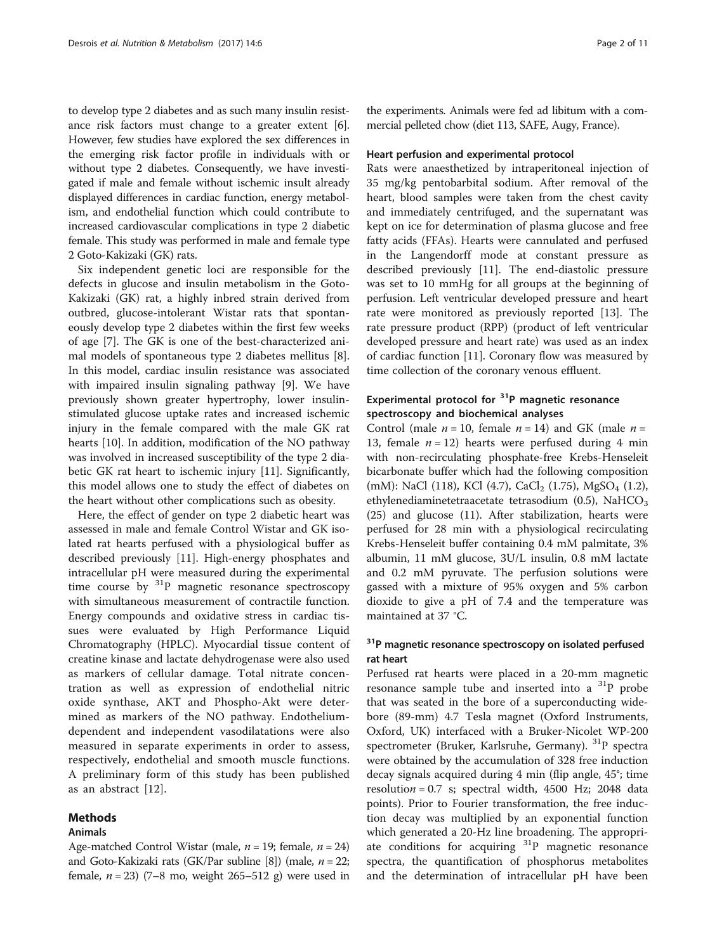to develop type 2 diabetes and as such many insulin resistance risk factors must change to a greater extent [[6](#page-9-0)]. However, few studies have explored the sex differences in the emerging risk factor profile in individuals with or without type 2 diabetes. Consequently, we have investigated if male and female without ischemic insult already displayed differences in cardiac function, energy metabolism, and endothelial function which could contribute to increased cardiovascular complications in type 2 diabetic female. This study was performed in male and female type 2 Goto-Kakizaki (GK) rats.

Six independent genetic loci are responsible for the defects in glucose and insulin metabolism in the Goto-Kakizaki (GK) rat, a highly inbred strain derived from outbred, glucose-intolerant Wistar rats that spontaneously develop type 2 diabetes within the first few weeks of age [[7\]](#page-9-0). The GK is one of the best-characterized animal models of spontaneous type 2 diabetes mellitus [\[8](#page-9-0)]. In this model, cardiac insulin resistance was associated with impaired insulin signaling pathway [\[9](#page-9-0)]. We have previously shown greater hypertrophy, lower insulinstimulated glucose uptake rates and increased ischemic injury in the female compared with the male GK rat hearts [[10\]](#page-9-0). In addition, modification of the NO pathway was involved in increased susceptibility of the type 2 diabetic GK rat heart to ischemic injury [[11](#page-9-0)]. Significantly, this model allows one to study the effect of diabetes on the heart without other complications such as obesity.

Here, the effect of gender on type 2 diabetic heart was assessed in male and female Control Wistar and GK isolated rat hearts perfused with a physiological buffer as described previously [[11\]](#page-9-0). High-energy phosphates and intracellular pH were measured during the experimental time course by  ${}^{31}P$  magnetic resonance spectroscopy with simultaneous measurement of contractile function. Energy compounds and oxidative stress in cardiac tissues were evaluated by High Performance Liquid Chromatography (HPLC). Myocardial tissue content of creatine kinase and lactate dehydrogenase were also used as markers of cellular damage. Total nitrate concentration as well as expression of endothelial nitric oxide synthase, AKT and Phospho-Akt were determined as markers of the NO pathway. Endotheliumdependent and independent vasodilatations were also measured in separate experiments in order to assess, respectively, endothelial and smooth muscle functions. A preliminary form of this study has been published as an abstract [[12\]](#page-9-0).

### Methods

#### Animals

Age-matched Control Wistar (male,  $n = 19$ ; female,  $n = 24$ ) and Goto-Kakizaki rats (GK/Par subline [\[8\]](#page-9-0)) (male,  $n = 22$ ; female,  $n = 23$ ) (7–8 mo, weight 265–512 g) were used in the experiments. Animals were fed ad libitum with a commercial pelleted chow (diet 113, SAFE, Augy, France).

#### Heart perfusion and experimental protocol

Rats were anaesthetized by intraperitoneal injection of 35 mg/kg pentobarbital sodium. After removal of the heart, blood samples were taken from the chest cavity and immediately centrifuged, and the supernatant was kept on ice for determination of plasma glucose and free fatty acids (FFAs). Hearts were cannulated and perfused in the Langendorff mode at constant pressure as described previously [\[11\]](#page-9-0). The end-diastolic pressure was set to 10 mmHg for all groups at the beginning of perfusion. Left ventricular developed pressure and heart rate were monitored as previously reported [[13\]](#page-9-0). The rate pressure product (RPP) (product of left ventricular developed pressure and heart rate) was used as an index of cardiac function [\[11](#page-9-0)]. Coronary flow was measured by time collection of the coronary venous effluent.

# Experimental protocol for  $31P$  magnetic resonance spectroscopy and biochemical analyses

Control (male  $n = 10$ , female  $n = 14$ ) and GK (male  $n =$ 13, female  $n = 12$ ) hearts were perfused during 4 min with non-recirculating phosphate-free Krebs-Henseleit bicarbonate buffer which had the following composition (mM): NaCl (118), KCl (4.7), CaCl<sub>2</sub> (1.75), MgSO<sub>4</sub> (1.2), ethylenediaminetetraacetate tetrasodium  $(0.5)$ , NaHCO<sub>3</sub> (25) and glucose (11). After stabilization, hearts were perfused for 28 min with a physiological recirculating Krebs-Henseleit buffer containing 0.4 mM palmitate, 3% albumin, 11 mM glucose, 3U/L insulin, 0.8 mM lactate and 0.2 mM pyruvate. The perfusion solutions were gassed with a mixture of 95% oxygen and 5% carbon dioxide to give a pH of 7.4 and the temperature was maintained at 37 °C.

# <sup>31</sup>P magnetic resonance spectroscopy on isolated perfused rat heart

Perfused rat hearts were placed in a 20-mm magnetic resonance sample tube and inserted into a  ${}^{31}P$  probe that was seated in the bore of a superconducting widebore (89-mm) 4.7 Tesla magnet (Oxford Instruments, Oxford, UK) interfaced with a Bruker-Nicolet WP-200 spectrometer (Bruker, Karlsruhe, Germany). <sup>31</sup>P spectra were obtained by the accumulation of 328 free induction decay signals acquired during 4 min (flip angle, 45°; time resolution = 0.7 s; spectral width, 4500 Hz; 2048 data points). Prior to Fourier transformation, the free induction decay was multiplied by an exponential function which generated a 20-Hz line broadening. The appropriate conditions for acquiring 31P magnetic resonance spectra, the quantification of phosphorus metabolites and the determination of intracellular pH have been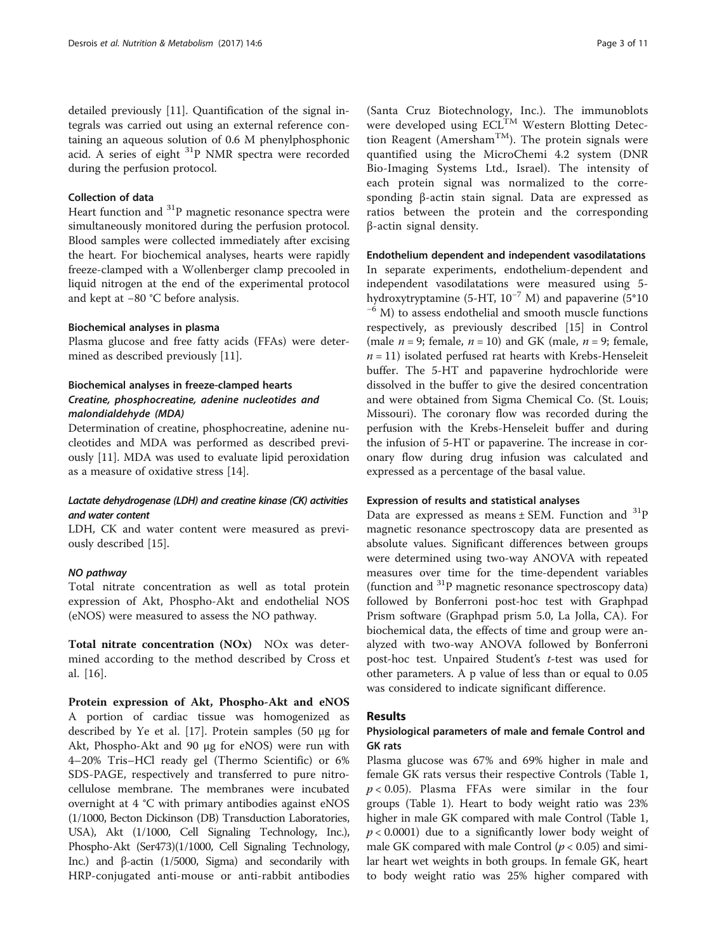detailed previously [\[11\]](#page-9-0). Quantification of the signal integrals was carried out using an external reference containing an aqueous solution of 0.6 M phenylphosphonic acid. A series of eight  ${}^{31}P$  NMR spectra were recorded during the perfusion protocol.

### Collection of data

Heart function and  ${}^{31}P$  magnetic resonance spectra were simultaneously monitored during the perfusion protocol. Blood samples were collected immediately after excising the heart. For biochemical analyses, hearts were rapidly freeze-clamped with a Wollenberger clamp precooled in liquid nitrogen at the end of the experimental protocol and kept at −80 °C before analysis.

### Biochemical analyses in plasma

Plasma glucose and free fatty acids (FFAs) were determined as described previously [\[11\]](#page-9-0).

# Biochemical analyses in freeze-clamped hearts Creatine, phosphocreatine, adenine nucleotides and malondialdehyde (MDA)

Determination of creatine, phosphocreatine, adenine nucleotides and MDA was performed as described previously [\[11](#page-9-0)]. MDA was used to evaluate lipid peroxidation as a measure of oxidative stress [[14\]](#page-9-0).

## Lactate dehydrogenase (LDH) and creatine kinase (CK) activities and water content

LDH, CK and water content were measured as previously described [[15](#page-9-0)].

### NO pathway

Total nitrate concentration as well as total protein expression of Akt, Phospho-Akt and endothelial NOS (eNOS) were measured to assess the NO pathway.

Total nitrate concentration (NOx) NO<sub>x</sub> was determined according to the method described by Cross et al. [\[16](#page-9-0)].

Protein expression of Akt, Phospho-Akt and eNOS A portion of cardiac tissue was homogenized as described by Ye et al. [[17\]](#page-9-0). Protein samples (50 μg for Akt, Phospho-Akt and 90 μg for eNOS) were run with 4–20% Tris–HCl ready gel (Thermo Scientific) or 6% SDS-PAGE, respectively and transferred to pure nitrocellulose membrane. The membranes were incubated overnight at 4 °C with primary antibodies against eNOS (1/1000, Becton Dickinson (DB) Transduction Laboratories, USA), Akt (1/1000, Cell Signaling Technology, Inc.), Phospho-Akt (Ser473)(1/1000, Cell Signaling Technology, Inc.) and β-actin (1/5000, Sigma) and secondarily with HRP-conjugated anti-mouse or anti-rabbit antibodies

(Santa Cruz Biotechnology, Inc.). The immunoblots were developed using ECL<sup>TM</sup> Western Blotting Detection Reagent (Amersham<sup>TM</sup>). The protein signals were quantified using the MicroChemi 4.2 system (DNR Bio-Imaging Systems Ltd., Israel). The intensity of each protein signal was normalized to the corresponding β-actin stain signal. Data are expressed as ratios between the protein and the corresponding β-actin signal density.

### Endothelium dependent and independent vasodilatations

In separate experiments, endothelium-dependent and independent vasodilatations were measured using 5-<br>hydroxytryptamine (5-HT,  $10^{-7}$  M) and papaverine (5\*10)  $h^{-6}$  M) to assess endothelial and smooth muscle functions respectively, as previously described [[15\]](#page-9-0) in Control (male  $n = 9$ ; female,  $n = 10$ ) and GK (male,  $n = 9$ ; female,  $n = 11$ ) isolated perfused rat hearts with Krebs-Henseleit buffer. The 5-HT and papaverine hydrochloride were dissolved in the buffer to give the desired concentration and were obtained from Sigma Chemical Co. (St. Louis; Missouri). The coronary flow was recorded during the perfusion with the Krebs-Henseleit buffer and during the infusion of 5-HT or papaverine. The increase in coronary flow during drug infusion was calculated and expressed as a percentage of the basal value.

### Expression of results and statistical analyses

Data are expressed as means  $\pm$  SEM. Function and  $^{31}P$ magnetic resonance spectroscopy data are presented as absolute values. Significant differences between groups were determined using two-way ANOVA with repeated measures over time for the time-dependent variables (function and  ${}^{31}P$  magnetic resonance spectroscopy data) followed by Bonferroni post-hoc test with Graphpad Prism software (Graphpad prism 5.0, La Jolla, CA). For biochemical data, the effects of time and group were analyzed with two-way ANOVA followed by Bonferroni post-hoc test. Unpaired Student's t-test was used for other parameters. A p value of less than or equal to 0.05 was considered to indicate significant difference.

### Results

## Physiological parameters of male and female Control and GK rats

Plasma glucose was 67% and 69% higher in male and female GK rats versus their respective Controls (Table [1](#page-3-0),  $p < 0.05$ ). Plasma FFAs were similar in the four groups (Table [1\)](#page-3-0). Heart to body weight ratio was 23% higher in male GK compared with male Control (Table [1](#page-3-0),  $p < 0.0001$ ) due to a significantly lower body weight of male GK compared with male Control ( $p < 0.05$ ) and similar heart wet weights in both groups. In female GK, heart to body weight ratio was 25% higher compared with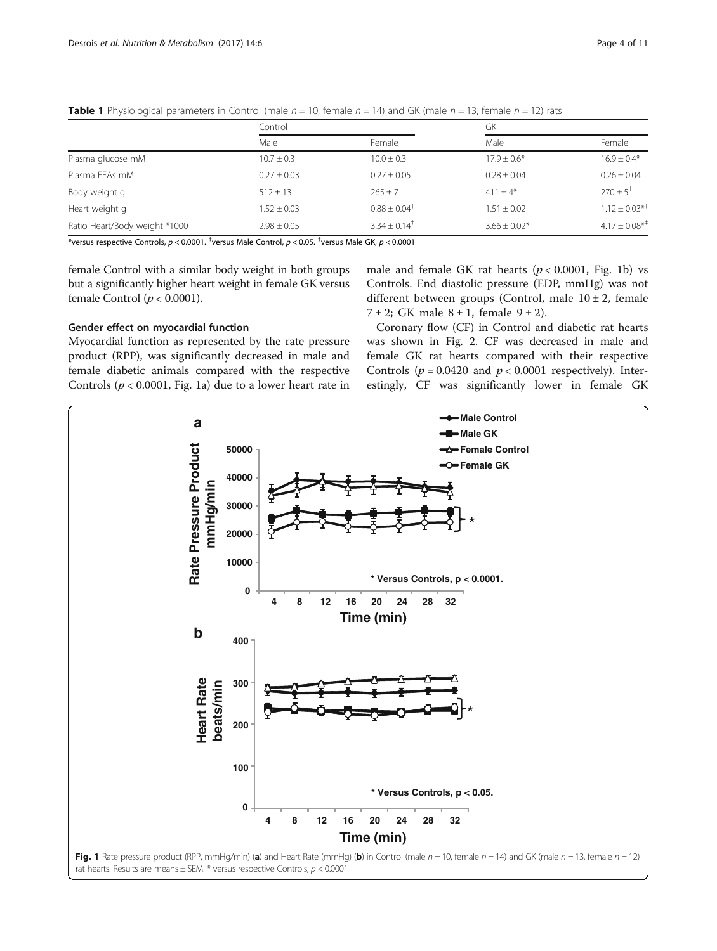|                               | Control         |                              | GK               |                                |
|-------------------------------|-----------------|------------------------------|------------------|--------------------------------|
|                               | Male            | Female                       | Male             | Female                         |
| Plasma glucose mM             | $10.7 \pm 0.3$  | $10.0 \pm 0.3$               | $17.9 \pm 0.6*$  | $16.9 + 0.4*$                  |
| Plasma FFAs mM                | $0.27 \pm 0.03$ | $0.27 \pm 0.05$              | $0.28 \pm 0.04$  | $0.26 \pm 0.04$                |
| Body weight g                 | $512 \pm 13$    | $265 + 7^{\dagger}$          | $411 + 4*$       | $270 \pm 5^{\circ}$            |
| Heart weight g                | $1.52 + 0.03$   | $0.88 \pm 0.04$ <sup>†</sup> | $1.51 + 0.02$    | $1.12 \pm 0.03^{*+}$           |
| Ratio Heart/Body weight *1000 | $2.98 \pm 0.05$ | $3.34 + 0.14$ <sup>†</sup>   | $3.66 \pm 0.02*$ | $4.17 \pm 0.08$ * <sup>‡</sup> |

<span id="page-3-0"></span>**Table 1** Physiological parameters in Control (male  $n = 10$ , female  $n = 14$ ) and GK (male  $n = 13$ , female  $n = 12$ ) rats

 $^*$ versus respective Controls,  $p < 0.0001$ .  $^{\dagger}$ versus Male Control,  $p < 0.05$ .  $^{\dagger}$ versus Male GK,  $p < 0.0001$ 

female Control with a similar body weight in both groups but a significantly higher heart weight in female GK versus female Control  $(p < 0.0001)$ .

### Gender effect on myocardial function

Myocardial function as represented by the rate pressure product (RPP), was significantly decreased in male and female diabetic animals compared with the respective Controls ( $p < 0.0001$ , Fig. 1a) due to a lower heart rate in male and female GK rat hearts  $(p < 0.0001,$  Fig. 1b) vs Controls. End diastolic pressure (EDP, mmHg) was not different between groups (Control, male  $10 \pm 2$ , female 7 ± 2; GK male  $8 \pm 1$ , female  $9 \pm 2$ ).

Coronary flow (CF) in Control and diabetic rat hearts was shown in Fig. [2](#page-4-0). CF was decreased in male and female GK rat hearts compared with their respective Controls ( $p = 0.0420$  and  $p < 0.0001$  respectively). Interestingly, CF was significantly lower in female GK

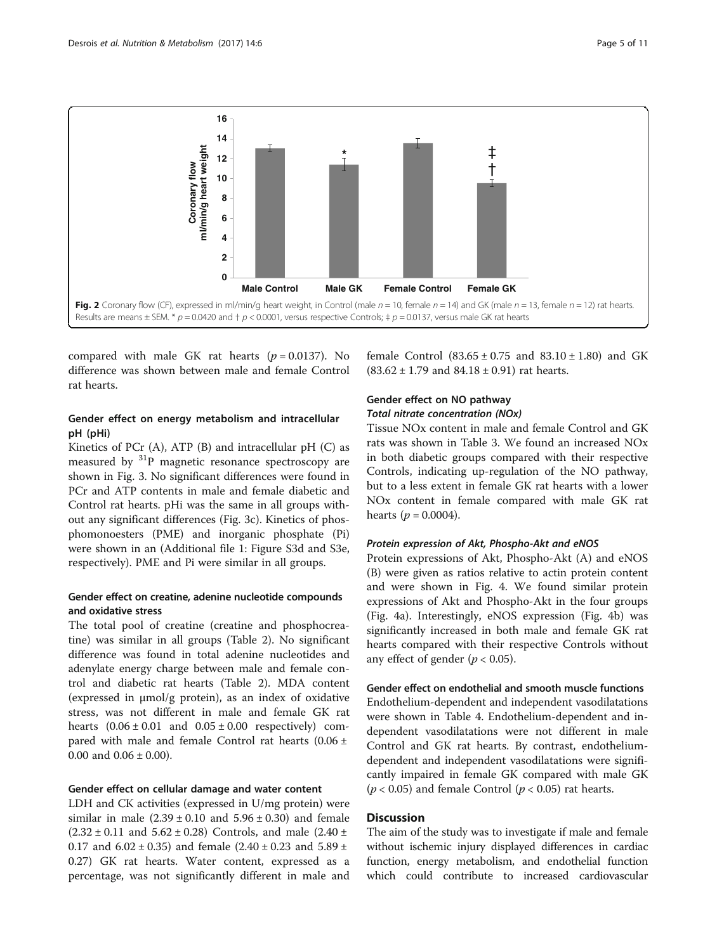<span id="page-4-0"></span>

compared with male GK rat hearts  $(p = 0.0137)$ . No difference was shown between male and female Control rat hearts.

# Gender effect on energy metabolism and intracellular pH (pHi)

Kinetics of PCr  $(A)$ , ATP  $(B)$  and intracellular pH  $(C)$  as measured by 31P magnetic resonance spectroscopy are shown in Fig. [3.](#page-5-0) No significant differences were found in PCr and ATP contents in male and female diabetic and Control rat hearts. pHi was the same in all groups without any significant differences (Fig. [3c](#page-5-0)). Kinetics of phosphomonoesters (PME) and inorganic phosphate (Pi) were shown in an (Additional file [1](#page-8-0): Figure S3d and S3e, respectively). PME and Pi were similar in all groups.

# Gender effect on creatine, adenine nucleotide compounds and oxidative stress

The total pool of creatine (creatine and phosphocreatine) was similar in all groups (Table [2\)](#page-6-0). No significant difference was found in total adenine nucleotides and adenylate energy charge between male and female control and diabetic rat hearts (Table [2](#page-6-0)). MDA content (expressed in μmol/g protein), as an index of oxidative stress, was not different in male and female GK rat hearts  $(0.06 \pm 0.01$  and  $0.05 \pm 0.00$  respectively) compared with male and female Control rat hearts (0.06 ± 0.00 and  $0.06 \pm 0.00$ ).

#### Gender effect on cellular damage and water content

LDH and CK activities (expressed in U/mg protein) were similar in male  $(2.39 \pm 0.10$  and  $5.96 \pm 0.30)$  and female  $(2.32 \pm 0.11$  and  $5.62 \pm 0.28)$  Controls, and male  $(2.40 \pm 0.11)$ 0.17 and  $6.02 \pm 0.35$ ) and female  $(2.40 \pm 0.23$  and  $5.89 \pm 0.17$ 0.27) GK rat hearts. Water content, expressed as a percentage, was not significantly different in male and female Control  $(83.65 \pm 0.75$  and  $83.10 \pm 1.80)$  and GK  $(83.62 \pm 1.79 \text{ and } 84.18 \pm 0.91)$  rat hearts.

### Gender effect on NO pathway Total nitrate concentration (NOx)

Tissue NOx content in male and female Control and GK rats was shown in Table [3](#page-6-0). We found an increased NOx in both diabetic groups compared with their respective Controls, indicating up-regulation of the NO pathway, but to a less extent in female GK rat hearts with a lower NOx content in female compared with male GK rat hearts ( $p = 0.0004$ ).

### Protein expression of Akt, Phospho-Akt and eNOS

Protein expressions of Akt, Phospho-Akt (A) and eNOS (B) were given as ratios relative to actin protein content and were shown in Fig. [4.](#page-7-0) We found similar protein expressions of Akt and Phospho-Akt in the four groups (Fig. [4a\)](#page-7-0). Interestingly, eNOS expression (Fig. [4b](#page-7-0)) was significantly increased in both male and female GK rat hearts compared with their respective Controls without any effect of gender ( $p < 0.05$ ).

### Gender effect on endothelial and smooth muscle functions

Endothelium-dependent and independent vasodilatations were shown in Table [4.](#page-7-0) Endothelium-dependent and independent vasodilatations were not different in male Control and GK rat hearts. By contrast, endotheliumdependent and independent vasodilatations were significantly impaired in female GK compared with male GK  $(p < 0.05)$  and female Control  $(p < 0.05)$  rat hearts.

### **Discussion**

The aim of the study was to investigate if male and female without ischemic injury displayed differences in cardiac function, energy metabolism, and endothelial function which could contribute to increased cardiovascular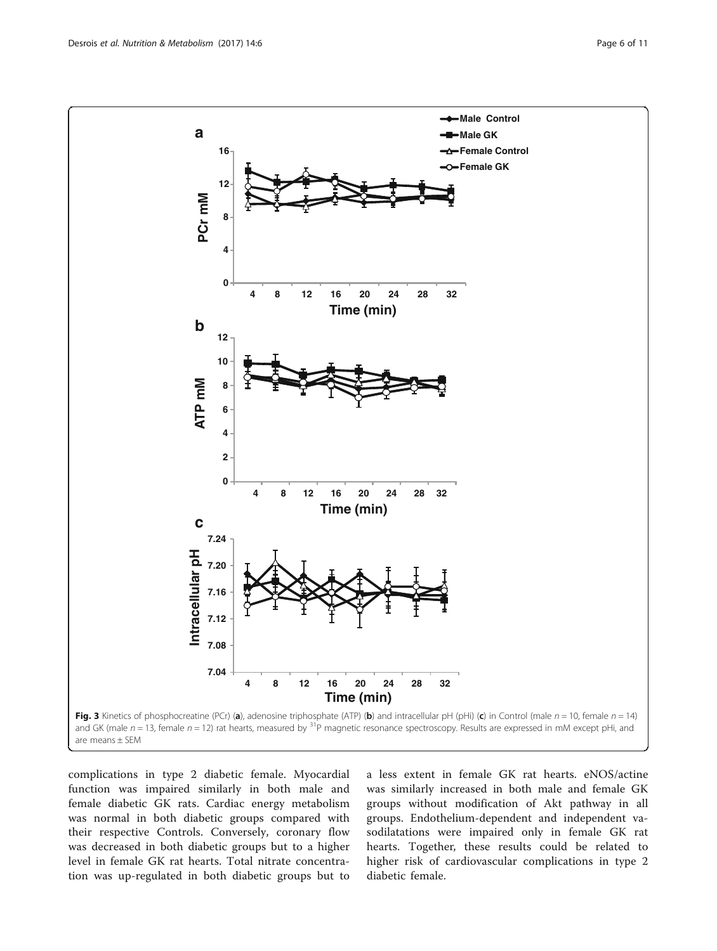<span id="page-5-0"></span>

complications in type 2 diabetic female. Myocardial function was impaired similarly in both male and female diabetic GK rats. Cardiac energy metabolism was normal in both diabetic groups compared with their respective Controls. Conversely, coronary flow was decreased in both diabetic groups but to a higher level in female GK rat hearts. Total nitrate concentration was up-regulated in both diabetic groups but to a less extent in female GK rat hearts. eNOS/actine was similarly increased in both male and female GK groups without modification of Akt pathway in all groups. Endothelium-dependent and independent vasodilatations were impaired only in female GK rat hearts. Together, these results could be related to higher risk of cardiovascular complications in type 2 diabetic female.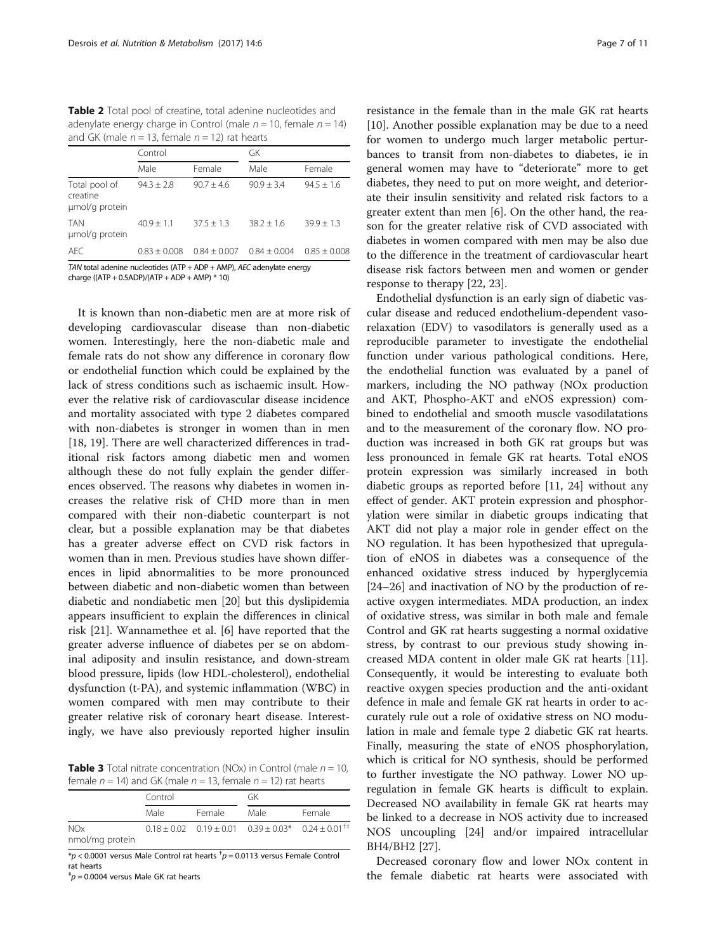<span id="page-6-0"></span>Table 2 Total pool of creatine, total adenine nucleotides and adenylate energy charge in Control (male  $n = 10$ , female  $n = 14$ ) and GK (male  $n = 13$ , female  $n = 12$ ) rat hearts

|                                             | Control        |                | GK             |                |
|---------------------------------------------|----------------|----------------|----------------|----------------|
|                                             | Male           | Female         | Male           | Female         |
| Total pool of<br>creatine<br>umol/g protein | $94.3 + 2.8$   | $90.7 + 4.6$   | $90.9 + 3.4$   | $94.5 \pm 1.6$ |
| <b>TAN</b><br>umol/g protein                | $40.9 + 1.1$   | $37.5 + 1.3$   | $38.2 + 1.6$   | $39.9 \pm 1.3$ |
| AFC.                                        | $0.83 + 0.008$ | $0.84 + 0.007$ | $0.84 + 0.004$ | $0.85 + 0.008$ |

TAN total adenine nucleotides (ATP + ADP + AMP), AEC adenylate energy charge ((ATP + 0.5ADP)/(ATP + ADP + AMP)  $*$  10)

It is known than non-diabetic men are at more risk of developing cardiovascular disease than non-diabetic women. Interestingly, here the non-diabetic male and female rats do not show any difference in coronary flow or endothelial function which could be explained by the lack of stress conditions such as ischaemic insult. However the relative risk of cardiovascular disease incidence and mortality associated with type 2 diabetes compared with non-diabetes is stronger in women than in men [[18, 19\]](#page-9-0). There are well characterized differences in traditional risk factors among diabetic men and women although these do not fully explain the gender differences observed. The reasons why diabetes in women increases the relative risk of CHD more than in men compared with their non-diabetic counterpart is not clear, but a possible explanation may be that diabetes has a greater adverse effect on CVD risk factors in women than in men. Previous studies have shown differences in lipid abnormalities to be more pronounced between diabetic and non-diabetic women than between diabetic and nondiabetic men [\[20\]](#page-9-0) but this dyslipidemia appears insufficient to explain the differences in clinical risk [\[21](#page-9-0)]. Wannamethee et al. [\[6](#page-9-0)] have reported that the greater adverse influence of diabetes per se on abdominal adiposity and insulin resistance, and down-stream blood pressure, lipids (low HDL-cholesterol), endothelial dysfunction (t-PA), and systemic inflammation (WBC) in women compared with men may contribute to their greater relative risk of coronary heart disease. Interestingly, we have also previously reported higher insulin

**Table 3** Total nitrate concentration (NOx) in Control (male  $n = 10$ , female  $n = 14$ ) and GK (male  $n = 13$ , female  $n = 12$ ) rat hearts

|                               | Control |        | GK                                                                                   |        |
|-------------------------------|---------|--------|--------------------------------------------------------------------------------------|--------|
|                               | Male    | Female | Male                                                                                 | Female |
| <b>NOx</b><br>nmol/mg protein |         |        | $0.18 \pm 0.02$ $0.19 \pm 0.01$ $0.39 \pm 0.03^*$ $0.24 \pm 0.01^{\dagger \ddagger}$ |        |

 $^{*}p$  < 0.0001 versus Male Control rat hearts  $^{+}p$  = 0.0113 versus Female Control rat hearts

 $p^{\dagger}$ p = 0.0004 versus Male GK rat hearts

resistance in the female than in the male GK rat hearts [[10\]](#page-9-0). Another possible explanation may be due to a need for women to undergo much larger metabolic perturbances to transit from non-diabetes to diabetes, ie in general women may have to "deteriorate" more to get diabetes, they need to put on more weight, and deteriorate their insulin sensitivity and related risk factors to a greater extent than men [[6](#page-9-0)]. On the other hand, the reason for the greater relative risk of CVD associated with diabetes in women compared with men may be also due to the difference in the treatment of cardiovascular heart disease risk factors between men and women or gender response to therapy [\[22](#page-9-0), [23](#page-9-0)].

Endothelial dysfunction is an early sign of diabetic vascular disease and reduced endothelium-dependent vasorelaxation (EDV) to vasodilators is generally used as a reproducible parameter to investigate the endothelial function under various pathological conditions. Here, the endothelial function was evaluated by a panel of markers, including the NO pathway (NOx production and AKT, Phospho-AKT and eNOS expression) combined to endothelial and smooth muscle vasodilatations and to the measurement of the coronary flow. NO production was increased in both GK rat groups but was less pronounced in female GK rat hearts. Total eNOS protein expression was similarly increased in both diabetic groups as reported before [\[11, 24\]](#page-9-0) without any effect of gender. AKT protein expression and phosphorylation were similar in diabetic groups indicating that AKT did not play a major role in gender effect on the NO regulation. It has been hypothesized that upregulation of eNOS in diabetes was a consequence of the enhanced oxidative stress induced by hyperglycemia [[24](#page-9-0)–[26](#page-9-0)] and inactivation of NO by the production of reactive oxygen intermediates. MDA production, an index of oxidative stress, was similar in both male and female Control and GK rat hearts suggesting a normal oxidative stress, by contrast to our previous study showing increased MDA content in older male GK rat hearts [\[11](#page-9-0)]. Consequently, it would be interesting to evaluate both reactive oxygen species production and the anti-oxidant defence in male and female GK rat hearts in order to accurately rule out a role of oxidative stress on NO modulation in male and female type 2 diabetic GK rat hearts. Finally, measuring the state of eNOS phosphorylation, which is critical for NO synthesis, should be performed to further investigate the NO pathway. Lower NO upregulation in female GK hearts is difficult to explain. Decreased NO availability in female GK rat hearts may be linked to a decrease in NOS activity due to increased NOS uncoupling [[24](#page-9-0)] and/or impaired intracellular BH4/BH2 [\[27\]](#page-9-0).

Decreased coronary flow and lower NOx content in the female diabetic rat hearts were associated with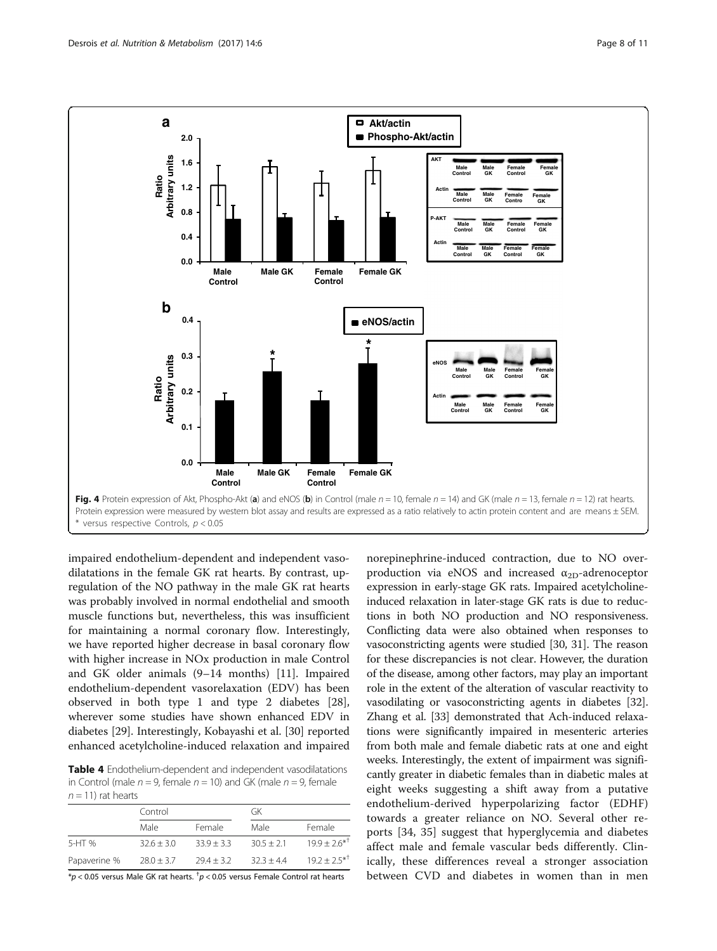<span id="page-7-0"></span>

impaired endothelium-dependent and independent vasodilatations in the female GK rat hearts. By contrast, upregulation of the NO pathway in the male GK rat hearts was probably involved in normal endothelial and smooth muscle functions but, nevertheless, this was insufficient for maintaining a normal coronary flow. Interestingly, we have reported higher decrease in basal coronary flow with higher increase in NOx production in male Control and GK older animals (9–14 months) [[11\]](#page-9-0). Impaired endothelium-dependent vasorelaxation (EDV) has been observed in both type 1 and type 2 diabetes [\[28](#page-9-0)], wherever some studies have shown enhanced EDV in diabetes [[29\]](#page-10-0). Interestingly, Kobayashi et al. [[30\]](#page-10-0) reported enhanced acetylcholine-induced relaxation and impaired

Table 4 Endothelium-dependent and independent vasodilatations in Control (male  $n = 9$ , female  $n = 10$ ) and GK (male  $n = 9$ , female  $n = 11$ ) rat hearts

|              | Control        |              |              | GK                |  |
|--------------|----------------|--------------|--------------|-------------------|--|
|              | Male           | Female       | Male         | Female            |  |
| 5-HT %       | $32.6 + 3.0$   | $33.9 + 3.3$ | $30.5 + 2.1$ | $19.9 + 2.6^{*T}$ |  |
| Papaverine % | $28.0 \pm 3.7$ | $79.4 + 3.2$ | $32.3 + 4.4$ | $192 + 25^{*1}$   |  |
|              |                |              |              |                   |  |

 $^{*}p$  < 0.05 versus Male GK rat hearts.  $^{\dagger}p$  < 0.05 versus Female Control rat hearts

norepinephrine-induced contraction, due to NO overproduction via eNOS and increased  $\alpha_{2D}$ -adrenoceptor expression in early-stage GK rats. Impaired acetylcholineinduced relaxation in later-stage GK rats is due to reductions in both NO production and NO responsiveness. Conflicting data were also obtained when responses to vasoconstricting agents were studied [[30](#page-10-0), [31](#page-10-0)]. The reason for these discrepancies is not clear. However, the duration of the disease, among other factors, may play an important role in the extent of the alteration of vascular reactivity to vasodilating or vasoconstricting agents in diabetes [[32](#page-10-0)]. Zhang et al. [\[33\]](#page-10-0) demonstrated that Ach-induced relaxations were significantly impaired in mesenteric arteries from both male and female diabetic rats at one and eight weeks. Interestingly, the extent of impairment was significantly greater in diabetic females than in diabetic males at eight weeks suggesting a shift away from a putative endothelium-derived hyperpolarizing factor (EDHF) towards a greater reliance on NO. Several other reports [\[34, 35\]](#page-10-0) suggest that hyperglycemia and diabetes affect male and female vascular beds differently. Clinically, these differences reveal a stronger association between CVD and diabetes in women than in men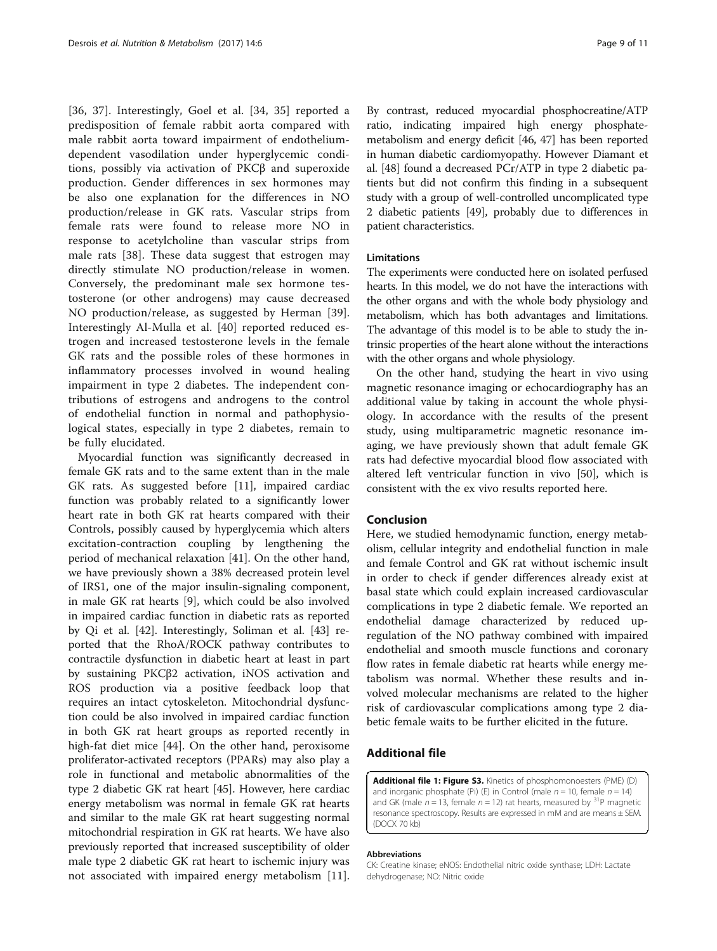<span id="page-8-0"></span>[[36, 37\]](#page-10-0). Interestingly, Goel et al. [[34, 35\]](#page-10-0) reported a predisposition of female rabbit aorta compared with male rabbit aorta toward impairment of endotheliumdependent vasodilation under hyperglycemic conditions, possibly via activation of PKCβ and superoxide production. Gender differences in sex hormones may be also one explanation for the differences in NO production/release in GK rats. Vascular strips from female rats were found to release more NO in response to acetylcholine than vascular strips from male rats [[38\]](#page-10-0). These data suggest that estrogen may directly stimulate NO production/release in women. Conversely, the predominant male sex hormone testosterone (or other androgens) may cause decreased NO production/release, as suggested by Herman [\[39](#page-10-0)]. Interestingly Al-Mulla et al. [[40\]](#page-10-0) reported reduced estrogen and increased testosterone levels in the female GK rats and the possible roles of these hormones in inflammatory processes involved in wound healing impairment in type 2 diabetes. The independent contributions of estrogens and androgens to the control of endothelial function in normal and pathophysiological states, especially in type 2 diabetes, remain to be fully elucidated.

Myocardial function was significantly decreased in female GK rats and to the same extent than in the male GK rats. As suggested before [[11\]](#page-9-0), impaired cardiac function was probably related to a significantly lower heart rate in both GK rat hearts compared with their Controls, possibly caused by hyperglycemia which alters excitation-contraction coupling by lengthening the period of mechanical relaxation [[41\]](#page-10-0). On the other hand, we have previously shown a 38% decreased protein level of IRS1, one of the major insulin-signaling component, in male GK rat hearts [\[9](#page-9-0)], which could be also involved in impaired cardiac function in diabetic rats as reported by Qi et al. [[42](#page-10-0)]. Interestingly, Soliman et al. [\[43\]](#page-10-0) reported that the RhoA/ROCK pathway contributes to contractile dysfunction in diabetic heart at least in part by sustaining PKCβ2 activation, iNOS activation and ROS production via a positive feedback loop that requires an intact cytoskeleton. Mitochondrial dysfunction could be also involved in impaired cardiac function in both GK rat heart groups as reported recently in high-fat diet mice [\[44](#page-10-0)]. On the other hand, peroxisome proliferator-activated receptors (PPARs) may also play a role in functional and metabolic abnormalities of the type 2 diabetic GK rat heart [\[45](#page-10-0)]. However, here cardiac energy metabolism was normal in female GK rat hearts and similar to the male GK rat heart suggesting normal mitochondrial respiration in GK rat hearts. We have also previously reported that increased susceptibility of older male type 2 diabetic GK rat heart to ischemic injury was not associated with impaired energy metabolism [\[11](#page-9-0)]. By contrast, reduced myocardial phosphocreatine/ATP ratio, indicating impaired high energy phosphatemetabolism and energy deficit [[46, 47\]](#page-10-0) has been reported in human diabetic cardiomyopathy. However Diamant et al. [[48](#page-10-0)] found a decreased PCr/ATP in type 2 diabetic patients but did not confirm this finding in a subsequent study with a group of well-controlled uncomplicated type 2 diabetic patients [\[49\]](#page-10-0), probably due to differences in patient characteristics.

### **Limitations**

The experiments were conducted here on isolated perfused hearts. In this model, we do not have the interactions with the other organs and with the whole body physiology and metabolism, which has both advantages and limitations. The advantage of this model is to be able to study the intrinsic properties of the heart alone without the interactions with the other organs and whole physiology.

On the other hand, studying the heart in vivo using magnetic resonance imaging or echocardiography has an additional value by taking in account the whole physiology. In accordance with the results of the present study, using multiparametric magnetic resonance imaging, we have previously shown that adult female GK rats had defective myocardial blood flow associated with altered left ventricular function in vivo [\[50](#page-10-0)], which is consistent with the ex vivo results reported here.

### Conclusion

Here, we studied hemodynamic function, energy metabolism, cellular integrity and endothelial function in male and female Control and GK rat without ischemic insult in order to check if gender differences already exist at basal state which could explain increased cardiovascular complications in type 2 diabetic female. We reported an endothelial damage characterized by reduced upregulation of the NO pathway combined with impaired endothelial and smooth muscle functions and coronary flow rates in female diabetic rat hearts while energy metabolism was normal. Whether these results and involved molecular mechanisms are related to the higher risk of cardiovascular complications among type 2 diabetic female waits to be further elicited in the future.

# Additional file

[Additional file 1: Figure S3.](dx.doi.org/10.1186/s12986-016-0157-z) Kinetics of phosphomonoesters (PME) (D) and inorganic phosphate (Pi) (E) in Control (male  $n = 10$ , female  $n = 14$ ) and GK (male  $n = 13$ , female  $n = 12$ ) rat hearts, measured by <sup>31</sup>P magnetic resonance spectroscopy. Results are expressed in mM and are means ± SEM. (DOCX 70 kb)

#### Abbreviations

CK: Creatine kinase; eNOS: Endothelial nitric oxide synthase; LDH: Lactate dehydrogenase; NO: Nitric oxide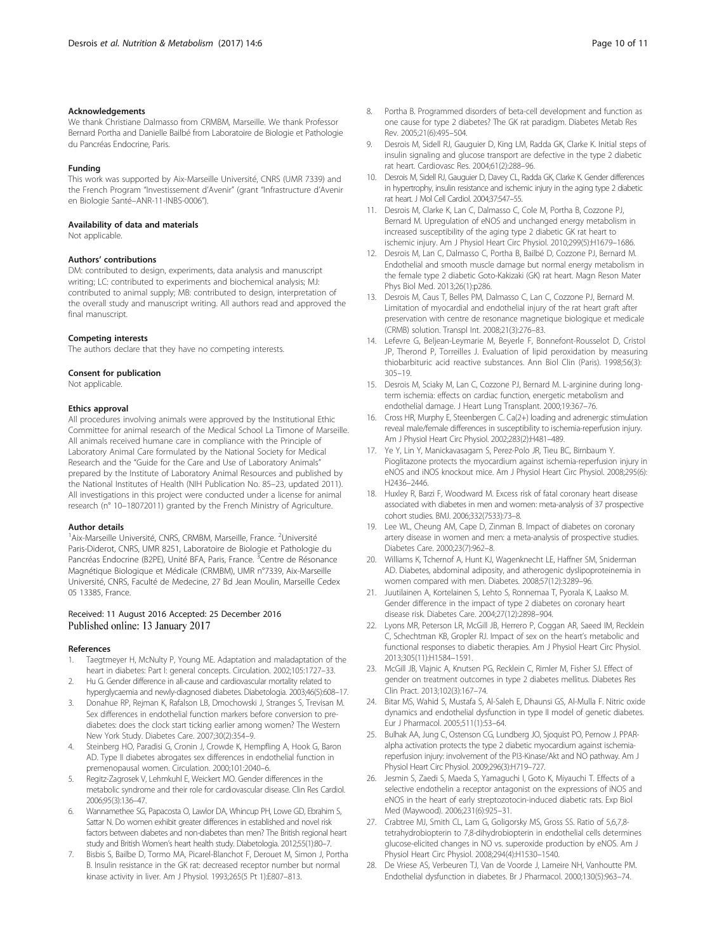#### <span id="page-9-0"></span>Acknowledgements

We thank Christiane Dalmasso from CRMBM, Marseille. We thank Professor Bernard Portha and Danielle Bailbé from Laboratoire de Biologie et Pathologie du Pancréas Endocrine, Paris.

#### Funding

This work was supported by Aix-Marseille Université, CNRS (UMR 7339) and the French Program "Investissement d'Avenir" (grant "Infrastructure d'Avenir en Biologie Santé–ANR-11-INBS-0006").

#### Availability of data and materials

Not applicable.

#### Authors' contributions

DM: contributed to design, experiments, data analysis and manuscript writing; LC: contributed to experiments and biochemical analysis; MJ: contributed to animal supply; MB: contributed to design, interpretation of the overall study and manuscript writing. All authors read and approved the final manuscript.

#### Competing interests

The authors declare that they have no competing interests.

#### Consent for publication

Not applicable.

#### Ethics approval

All procedures involving animals were approved by the Institutional Ethic Committee for animal research of the Medical School La Timone of Marseille. All animals received humane care in compliance with the Principle of Laboratory Animal Care formulated by the National Society for Medical Research and the "Guide for the Care and Use of Laboratory Animals" prepared by the Institute of Laboratory Animal Resources and published by the National Institutes of Health (NIH Publication No. 85–23, updated 2011). All investigations in this project were conducted under a license for animal research (n° 10–18072011) granted by the French Ministry of Agriculture.

#### Author details

<sup>1</sup> Aix-Marseille Université, CNRS, CRMBM, Marseille, France. <sup>2</sup>Université Paris-Diderot, CNRS, UMR 8251, Laboratoire de Biologie et Pathologie du Pancréas Endocrine (B2PE), Unité BFA, Paris, France. <sup>3</sup>Centre de Résonance Magnétique Biologique et Médicale (CRMBM), UMR n°7339, Aix-Marseille Université, CNRS, Faculté de Medecine, 27 Bd Jean Moulin, Marseille Cedex 05 13385, France.

### Received: 11 August 2016 Accepted: 25 December 2016 Published online: 13 January 2017

#### References

- 1. Taegtmeyer H, McNulty P, Young ME. Adaptation and maladaptation of the heart in diabetes: Part I: general concepts. Circulation. 2002;105:1727–33.
- 2. Hu G. Gender difference in all-cause and cardiovascular mortality related to hyperglycaemia and newly-diagnosed diabetes. Diabetologia. 2003;46(5):608–17.
- 3. Donahue RP, Rejman K, Rafalson LB, Dmochowski J, Stranges S, Trevisan M. Sex differences in endothelial function markers before conversion to prediabetes: does the clock start ticking earlier among women? The Western New York Study. Diabetes Care. 2007;30(2):354–9.
- Steinberg HO, Paradisi G, Cronin J, Crowde K, Hempfling A, Hook G, Baron AD. Type II diabetes abrogates sex differences in endothelial function in premenopausal women. Circulation. 2000;101:2040–6.
- Regitz-Zagrosek V, Lehmkuhl E, Weickert MO. Gender differences in the metabolic syndrome and their role for cardiovascular disease. Clin Res Cardiol. 2006;95(3):136–47.
- 6. Wannamethee SG, Papacosta O, Lawlor DA, Whincup PH, Lowe GD, Ebrahim S, Sattar N. Do women exhibit greater differences in established and novel risk factors between diabetes and non-diabetes than men? The British regional heart study and British Women's heart health study. Diabetologia. 2012;55(1):80–7.
- 7. Bisbis S, Bailbe D, Tormo MA, Picarel-Blanchot F, Derouet M, Simon J, Portha B. Insulin resistance in the GK rat: decreased receptor number but normal kinase activity in liver. Am J Physiol. 1993;265(5 Pt 1):E807–813.
- 8. Portha B. Programmed disorders of beta-cell development and function as one cause for type 2 diabetes? The GK rat paradigm. Diabetes Metab Res Rev. 2005;21(6):495–504.
- Desrois M, Sidell RJ, Gauguier D, King LM, Radda GK, Clarke K. Initial steps of insulin signaling and glucose transport are defective in the type 2 diabetic rat heart. Cardiovasc Res. 2004;61(2):288–96.
- 10. Desrois M, Sidell RJ, Gauguier D, Davey CL, Radda GK, Clarke K. Gender differences in hypertrophy, insulin resistance and ischemic injury in the aging type 2 diabetic rat heart. J Mol Cell Cardiol. 2004;37:547–55.
- 11. Desrois M, Clarke K, Lan C, Dalmasso C, Cole M, Portha B, Cozzone PJ, Bernard M. Upregulation of eNOS and unchanged energy metabolism in increased susceptibility of the aging type 2 diabetic GK rat heart to ischemic injury. Am J Physiol Heart Circ Physiol. 2010;299(5):H1679–1686.
- 12. Desrois M, Lan C, Dalmasso C, Portha B, Bailbé D, Cozzone PJ, Bernard M. Endothelial and smooth muscle damage but normal energy metabolism in the female type 2 diabetic Goto-Kakizaki (GK) rat heart. Magn Reson Mater Phys Biol Med. 2013;26(1):p286.
- 13. Desrois M, Caus T, Belles PM, Dalmasso C, Lan C, Cozzone PJ, Bernard M. Limitation of myocardial and endothelial injury of the rat heart graft after preservation with centre de resonance magnetique biologique et medicale (CRMB) solution. Transpl Int. 2008;21(3):276–83.
- 14. Lefevre G, Beljean-Leymarie M, Beyerle F, Bonnefont-Rousselot D, Cristol JP, Therond P, Torreilles J. Evaluation of lipid peroxidation by measuring thiobarbituric acid reactive substances. Ann Biol Clin (Paris). 1998;56(3): 305–19.
- 15. Desrois M, Sciaky M, Lan C, Cozzone PJ, Bernard M. L-arginine during longterm ischemia: effects on cardiac function, energetic metabolism and endothelial damage. J Heart Lung Transplant. 2000;19:367–76.
- 16. Cross HR, Murphy E, Steenbergen C. Ca(2+) loading and adrenergic stimulation reveal male/female differences in susceptibility to ischemia-reperfusion injury. Am J Physiol Heart Circ Physiol. 2002;283(2):H481–489.
- 17. Ye Y, Lin Y, Manickavasagam S, Perez-Polo JR, Tieu BC, Birnbaum Y. Pioglitazone protects the myocardium against ischemia-reperfusion injury in eNOS and iNOS knockout mice. Am J Physiol Heart Circ Physiol. 2008;295(6): H2436–2446.
- 18. Huxley R, Barzi F, Woodward M. Excess risk of fatal coronary heart disease associated with diabetes in men and women: meta-analysis of 37 prospective cohort studies. BMJ. 2006;332(7533):73–8.
- 19. Lee WL, Cheung AM, Cape D, Zinman B. Impact of diabetes on coronary artery disease in women and men: a meta-analysis of prospective studies. Diabetes Care. 2000;23(7):962–8.
- 20. Williams K, Tchernof A, Hunt KJ, Wagenknecht LE, Haffner SM, Sniderman AD. Diabetes, abdominal adiposity, and atherogenic dyslipoproteinemia in women compared with men. Diabetes. 2008;57(12):3289–96.
- 21. Juutilainen A, Kortelainen S, Lehto S, Ronnemaa T, Pyorala K, Laakso M. Gender difference in the impact of type 2 diabetes on coronary heart disease risk. Diabetes Care. 2004;27(12):2898–904.
- 22. Lyons MR, Peterson LR, McGill JB, Herrero P, Coggan AR, Saeed IM, Recklein C, Schechtman KB, Gropler RJ. Impact of sex on the heart's metabolic and functional responses to diabetic therapies. Am J Physiol Heart Circ Physiol. 2013;305(11):H1584–1591.
- 23. McGill JB, Vlajnic A, Knutsen PG, Recklein C, Rimler M, Fisher SJ. Effect of gender on treatment outcomes in type 2 diabetes mellitus. Diabetes Res Clin Pract. 2013;102(3):167–74.
- 24. Bitar MS, Wahid S, Mustafa S, Al-Saleh E, Dhaunsi GS, Al-Mulla F. Nitric oxide dynamics and endothelial dysfunction in type II model of genetic diabetes. Eur J Pharmacol. 2005;511(1):53–64.
- 25. Bulhak AA, Jung C, Ostenson CG, Lundberg JO, Sjoquist PO, Pernow J. PPARalpha activation protects the type 2 diabetic myocardium against ischemiareperfusion injury: involvement of the PI3-Kinase/Akt and NO pathway. Am J Physiol Heart Circ Physiol. 2009;296(3):H719–727.
- 26. Jesmin S, Zaedi S, Maeda S, Yamaguchi I, Goto K, Miyauchi T. Effects of a selective endothelin a receptor antagonist on the expressions of iNOS and eNOS in the heart of early streptozotocin-induced diabetic rats. Exp Biol Med (Maywood). 2006;231(6):925–31.
- 27. Crabtree MJ, Smith CL, Lam G, Goligorsky MS, Gross SS. Ratio of 5,6,7,8 tetrahydrobiopterin to 7,8-dihydrobiopterin in endothelial cells determines glucose-elicited changes in NO vs. superoxide production by eNOS. Am J Physiol Heart Circ Physiol. 2008;294(4):H1530–1540.
- 28. De Vriese AS, Verbeuren TJ, Van de Voorde J, Lameire NH, Vanhoutte PM. Endothelial dysfunction in diabetes. Br J Pharmacol. 2000;130(5):963–74.